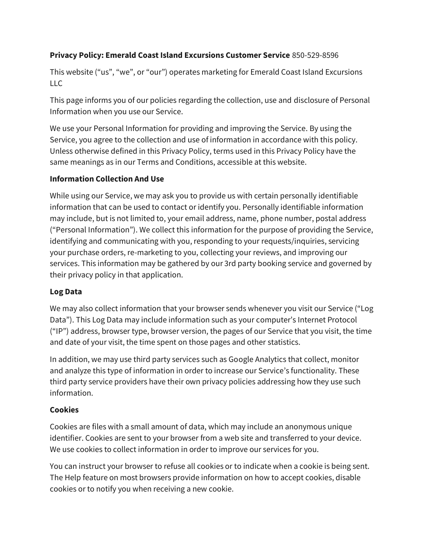# **Privacy Policy: Emerald Coast Island Excursions Customer Service** 850-529-8596

This website ("us", "we", or "our") operates marketing for Emerald Coast Island Excursions LLC

This page informs you of our policies regarding the collection, use and disclosure of Personal Information when you use our Service.

We use your Personal Information for providing and improving the Service. By using the Service, you agree to the collection and use of information in accordance with this policy. Unless otherwise defined in this Privacy Policy, terms used in this Privacy Policy have the same meanings as in our Terms and Conditions, accessible at this website.

## **Information Collection And Use**

While using our Service, we may ask you to provide us with certain personally identifiable information that can be used to contact or identify you. Personally identifiable information may include, but is not limited to, your email address, name, phone number, postal address ("Personal Information"). We collect this information for the purpose of providing the Service, identifying and communicating with you, responding to your requests/inquiries, servicing your purchase orders, re-marketing to you, collecting your reviews, and improving our services. This information may be gathered by our 3rd party booking service and governed by their privacy policy in that application.

## **Log Data**

We may also collect information that your browser sends whenever you visit our Service ("Log Data"). This Log Data may include information such as your computer's Internet Protocol ("IP") address, browser type, browser version, the pages of our Service that you visit, the time and date of your visit, the time spent on those pages and other statistics.

In addition, we may use third party services such as Google Analytics that collect, monitor and analyze this type of information in order to increase our Service's functionality. These third party service providers have their own privacy policies addressing how they use such information.

## **Cookies**

Cookies are files with a small amount of data, which may include an anonymous unique identifier. Cookies are sent to your browser from a web site and transferred to your device. We use cookies to collect information in order to improve our services for you.

You can instruct your browser to refuse all cookies or to indicate when a cookie is being sent. The Help feature on most browsers provide information on how to accept cookies, disable cookies or to notify you when receiving a new cookie.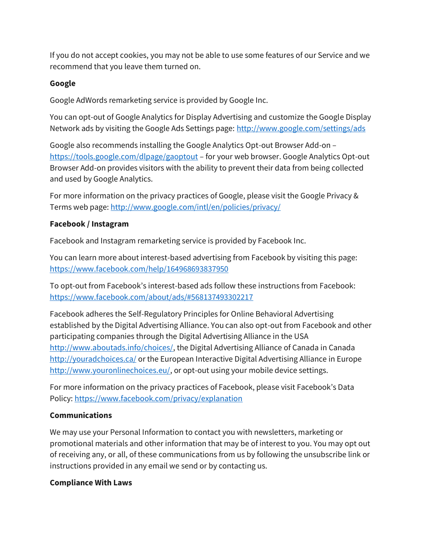If you do not accept cookies, you may not be able to use some features of our Service and we recommend that you leave them turned on.

### **Google**

Google AdWords remarketing service is provided by Google Inc.

You can opt-out of Google Analytics for Display Advertising and customize the Google Display Network ads by visiting the Google Ads Settings page:<http://www.google.com/settings/ads>

Google also recommends installing the Google Analytics Opt-out Browser Add-on – <https://tools.google.com/dlpage/gaoptout> – for your web browser. Google Analytics Opt-out Browser Add-on provides visitors with the ability to prevent their data from being collected and used by Google Analytics.

For more information on the privacy practices of Google, please visit the Google Privacy & Terms web page[: http://www.google.com/intl/en/policies/privacy/](http://www.google.com/intl/en/policies/privacy/)

## **Facebook / Instagram**

Facebook and Instagram remarketing service is provided by Facebook Inc.

You can learn more about interest-based advertising from Facebook by visiting this page: <https://www.facebook.com/help/164968693837950>

To opt-out from Facebook's interest-based ads follow these instructions from Facebook: <https://www.facebook.com/about/ads/#568137493302217>

Facebook adheres the Self-Regulatory Principles for Online Behavioral Advertising established by the Digital Advertising Alliance. You can also opt-out from Facebook and other participating companies through the Digital Advertising Alliance in the USA [http://www.aboutads.info/choices/,](http://www.aboutads.info/choices/) the Digital Advertising Alliance of Canada in Canada <http://youradchoices.ca/> or the European Interactive Digital Advertising Alliance in Europe [http://www.youronlinechoices.eu/,](http://www.youronlinechoices.eu/) or opt-out using your mobile device settings.

For more information on the privacy practices of Facebook, please visit Facebook's Data Policy:<https://www.facebook.com/privacy/explanation>

## **Communications**

We may use your Personal Information to contact you with newsletters, marketing or promotional materials and other information that may be of interest to you. You may opt out of receiving any, or all, of these communications from us by following the unsubscribe link or instructions provided in any email we send or by contacting us.

#### **Compliance With Laws**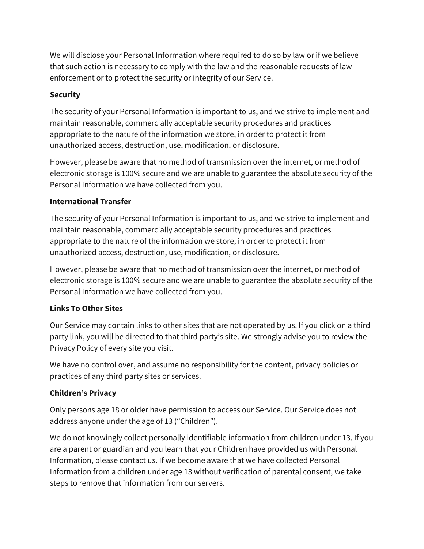We will disclose your Personal Information where required to do so by law or if we believe that such action is necessary to comply with the law and the reasonable requests of law enforcement or to protect the security or integrity of our Service.

## **Security**

The security of your Personal Information is important to us, and we strive to implement and maintain reasonable, commercially acceptable security procedures and practices appropriate to the nature of the information we store, in order to protect it from unauthorized access, destruction, use, modification, or disclosure.

However, please be aware that no method of transmission over the internet, or method of electronic storage is 100% secure and we are unable to guarantee the absolute security of the Personal Information we have collected from you.

## **International Transfer**

The security of your Personal Information is important to us, and we strive to implement and maintain reasonable, commercially acceptable security procedures and practices appropriate to the nature of the information we store, in order to protect it from unauthorized access, destruction, use, modification, or disclosure.

However, please be aware that no method of transmission over the internet, or method of electronic storage is 100% secure and we are unable to guarantee the absolute security of the Personal Information we have collected from you.

## **Links To Other Sites**

Our Service may contain links to other sites that are not operated by us. If you click on a third party link, you will be directed to that third party's site. We strongly advise you to review the Privacy Policy of every site you visit.

We have no control over, and assume no responsibility for the content, privacy policies or practices of any third party sites or services.

## **Children's Privacy**

Only persons age 18 or older have permission to access our Service. Our Service does not address anyone under the age of 13 ("Children").

We do not knowingly collect personally identifiable information from children under 13. If you are a parent or guardian and you learn that your Children have provided us with Personal Information, please contact us. If we become aware that we have collected Personal Information from a children under age 13 without verification of parental consent, we take steps to remove that information from our servers.